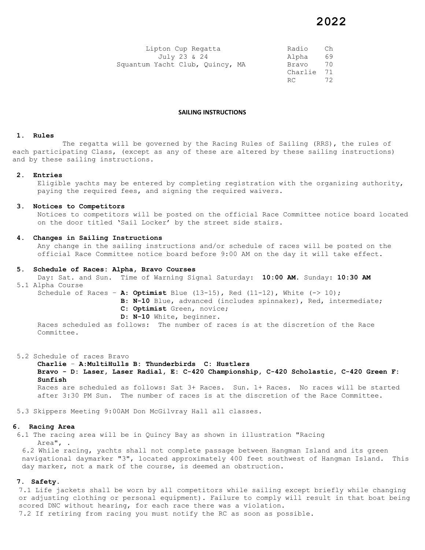| Lipton Cup Regatta              | Radio   | Ch |
|---------------------------------|---------|----|
| July 23 & 24                    | Alpha   | 69 |
| Squantum Yacht Club, Quincy, MA | Bravo   | 70 |
|                                 | Charlie | 71 |
|                                 | RC      | フク |

### **SAILING INSTRUCTIONS**

#### **1. Rules**

The regatta will be governed by the Racing Rules of Sailing (RRS), the rules of each participating Class, (except as any of these are altered by these sailing instructions) and by these sailing instructions.

### **2. Entries**

Eligible yachts may be entered by completing registration with the organizing authority, paying the required fees, and signing the required waivers.

#### **3. Notices to Competitors**

Notices to competitors will be posted on the official Race Committee notice board located on the door titled 'Sail Locker' by the street side stairs.

#### **4. Changes in Sailing Instructions**

Any change in the sailing instructions and/or schedule of races will be posted on the official Race Committee notice board before 9:00 AM on the day it will take effect.

#### **5. Schedule of Races: Alpha, Bravo Courses**

Day: Sat. and Sun. Time of Warning Signal Saturday: **10:00 AM**. Sunday: **10:30 AM** 5.1 Alpha Course

Schedule of Races – **A**: **Optimist** Blue (13-15), Red (11-12), White (-> 10); **B**: **N-10** Blue, advanced (includes spinnaker), Red, intermediate; **C**: **Optimist** Green, novice;

**D**: **N-10** White, beginner.

 Races scheduled as follows: The number of races is at the discretion of the Race Committee.

5.2 Schedule of races Bravo

**Charlie** – **A**:**MultiHulls B: Thunderbirds C: Hustlers Bravo - D: Laser, Laser Radial, E: C-420 Championship, C-420 Scholastic, C-420 Green F: Sunfish**  Races are scheduled as follows: Sat 3+ Races. Sun. 1+ Races. No races will be started after 3:30 PM Sun. The number of races is at the discretion of the Race Committee.

5.3 Skippers Meeting 9:00AM Don McGilvray Hall all classes.

### **6. Racing Area**

6.1 The racing area will be in Quincy Bay as shown in illustration "Racing Area", .

6.2 While racing, yachts shall not complete passage between Hangman Island and its green navigational daymarker "3", located approximately 400 feet southwest of Hangman Island. This day marker, not a mark of the course, is deemed an obstruction.

### **7. Safety.**

7.1 Life jackets shall be worn by all competitors while sailing except briefly while changing or adjusting clothing or personal equipment). Failure to comply will result in that boat being scored DNC without hearing, for each race there was a violation. 7.2 If retiring from racing you must notify the RC as soon as possible.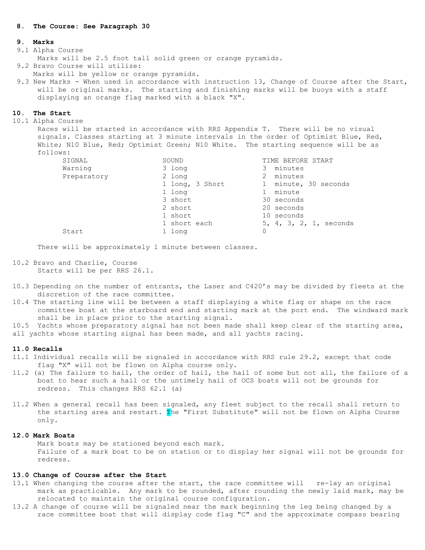## **8. The Course: See Paragraph 30**

### **9. Marks**

### 9.1 Alpha Course

Marks will be 2.5 foot tall solid green or orange pyramids.

- 9.2 Bravo Course will utilize:
- Marks will be yellow or orange pyramids.
- 9.3 New Marks When used in accordance with instruction 13, Change of Course after the Start, will be original marks. The starting and finishing marks will be buoys with a staff displaying an orange flag marked with a black "X".

#### **10. The Start**

10.1 Alpha Course

Races will be started in accordance with RRS Appendix T. There will be no visual signals. Classes starting at 3 minute intervals in the order of Optimist Blue, Red, White; N10 Blue, Red; Optimist Green; N10 White. The starting sequence will be as follows:

| SIGNAL      | SOUND           | TIME BEFORE START                  |
|-------------|-----------------|------------------------------------|
| Warning     | 3 long          | minutes<br>3                       |
| Preparatory | 2 long          | minutes<br>2                       |
|             | 1 long, 3 Short | minute, 30 seconds<br>$\mathbf{1}$ |
|             | 1 long          | minute                             |
|             | 3 short         | 30 seconds                         |
|             | 2 short         | 20 seconds                         |
|             | 1 short         | 10 seconds                         |
|             | 1 short each    | 5, 4, 3, 2, 1, seconds             |
| Start       | 1 long          |                                    |

There will be approximately 1 minute between classes.

- 10.2 Bravo and Charlie, Course Starts will be per RRS 26.1.
- 10.3 Depending on the number of entrants, the Laser and C420's may be divided by fleets at the discretion of the race committee.
- 10.4 The starting line will be between a staff displaying a white flag or shape on the race committee boat at the starboard end and starting mark at the port end. The windward mark shall be in place prior to the starting signal.
- 10.5 Yachts whose preparatory signal has not been made shall keep clear of the starting area, all yachts whose starting signal has been made, and all yachts racing.

### **11.0 Recalls**

- 11.1 Individual recalls will be signaled in accordance with RRS rule 29.2, except that code flag "X" will not be flown on Alpha course only.
- 11.2 (a) The failure to hail, the order of hail, the hail of some but not all, the failure of a boat to hear such a hail or the untimely hail of OCS boats will not be grounds for redress. This changes RRS 62.1 (a)
- 11.2 When a general recall has been signaled, any fleet subject to the recall shall return to the starting area and restart. The "First Substitute" will not be flown on Alpha Course only.

### **12.0 Mark Boats**

Mark boats may be stationed beyond each mark. Failure of a mark boat to be on station or to display her signal will not be grounds for redress.

### **13.0 Change of Course after the Start**

- 13.1 When changing the course after the start, the race committee will re-lay an original mark as practicable. Any mark to be rounded, after rounding the newly laid mark, may be relocated to maintain the original course configuration.
- 13.2 A change of course will be signaled near the mark beginning the leg being changed by a race committee boat that will display code flag "C" and the approximate compass bearing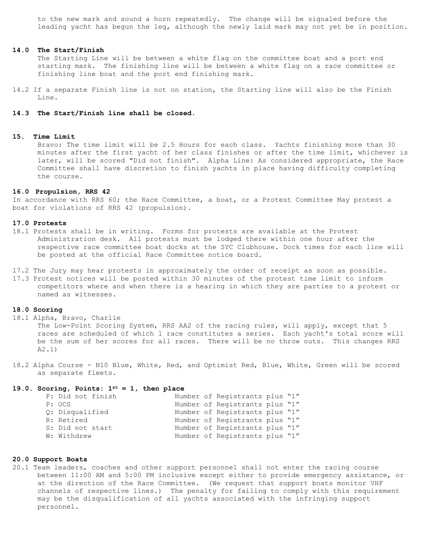to the new mark and sound a horn repeatedly. The change will be signaled before the leading yacht has begun the leg, although the newly laid mark may not yet be in position.

## **14.0 The Start/Finish**

The Starting Line will be between a white flag on the committee boat and a port end starting mark. The finishing line will be between a white flag on a race committee or finishing line boat and the port end finishing mark.

14.2 If a separate Finish line is not on station, the Starting line will also be the Finish Line.

## **14.3 The Start/Finish line shall be closed.**

## **15. Time Limit**

Bravo: The time limit will be 2.5 Hours for each class. Yachts finishing more than 30 minutes after the first yacht of her class finishes or after the time limit, whichever is later, will be scored "Did not finish". Alpha Line: As considered appropriate, the Race Committee shall have discretion to finish yachts in place having difficulty completing the course.

### **16.0 Propulsion, RRS 42**

In accordance with RRS 60; the Race Committee, a boat, or a Protest Committee May protest a boat for violations of RRS 42 (propulsion).

#### **17.0 Protests**

- 18.1 Protests shall be in writing. Forms for protests are available at the Protest Administration desk. All protests must be lodged there within one hour after the respective race committee boat docks at the SYC Clubhouse. Dock times for each line will be posted at the official Race Committee notice board.
- 17.2 The Jury may hear protests in approximately the order of receipt as soon as possible.
- 17.3 Protest notices will be posted within 30 minutes of the protest time limit to inform competitors where and when there is a hearing in which they are parties to a protest or named as witnesses.

## **18.0 Scoring**

18.1 Alpha, Bravo, Charlie

The Low-Point Scoring System, RRS AA2 of the racing rules, will apply, except that 5 races are scheduled of which 1 race constitutes a series. Each yacht's total score will be the sum of her scores for all races. There will be no throw outs. This changes RRS A2.1)

18.2 Alpha Course - N10 Blue, White, Red, and Optimist Red, Blue, White, Green will be scored as separate fleets.

## **19.0. Scoring, Points: 1st = 1, then place**

| F: Did not finish |  | Number of Registrants plus "1" |  |
|-------------------|--|--------------------------------|--|
| P: OCS            |  | Number of Registrants plus "1" |  |
| O: Disqualified   |  | Number of Registrants plus "1" |  |
| R: Retired        |  | Number of Registrants plus "1" |  |
| S: Did not start  |  | Number of Registrants plus "1" |  |
| W: Withdrew       |  | Number of Registrants plus "1" |  |

### **20.0 Support Boats**

20.1 Team leaders, coaches and other support personnel shall not enter the racing course between 11:00 AM and 5:00 PM inclusive except either to provide emergency assistance, or at the direction of the Race Committee. (We request that support boats monitor VHF channels of respective lines.) The penalty for failing to comply with this requirement may be the disqualification of all yachts associated with the infringing support personnel.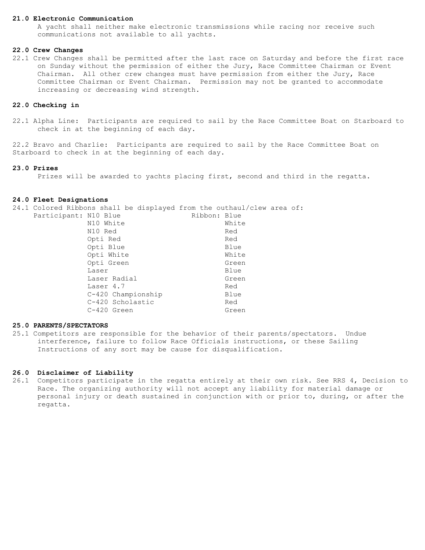### **21.0 Electronic Communication**

A yacht shall neither make electronic transmissions while racing nor receive such communications not available to all yachts.

## **22.0 Crew Changes**

22.1 Crew Changes shall be permitted after the last race on Saturday and before the first race on Sunday without the permission of either the Jury, Race Committee Chairman or Event Chairman. All other crew changes must have permission from either the Jury, Race Committee Chairman or Event Chairman. Permission may not be granted to accommodate increasing or decreasing wind strength.

### **22.0 Checking in**

22.1 Alpha Line: Participants are required to sail by the Race Committee Boat on Starboard to check in at the beginning of each day.

22.2 Bravo and Charlie: Participants are required to sail by the Race Committee Boat on Starboard to check in at the beginning of each day.

# **23.0 Prizes**

Prizes will be awarded to yachts placing first, second and third in the regatta.

### **24.0 Fleet Designations**

24.1 Colored Ribbons shall be displayed from the outhaul/clew area of:

| Participant: N10 Blue |                    | Ribbon: Blue |       |
|-----------------------|--------------------|--------------|-------|
|                       | N10 White          |              | White |
|                       | N10 Red            |              | Red   |
|                       | Opti Red           |              | Red   |
|                       | Opti Blue          |              | Blue  |
|                       | Opti White         |              | White |
|                       | Opti Green         |              | Green |
|                       | Laser              |              | Blue  |
|                       | Laser Radial       |              | Green |
|                       | Laser 4.7          |              | Red   |
|                       | C-420 Championship |              | Blue  |
|                       | C-420 Scholastic   |              | Red   |
|                       | $C-420$ Green      |              | Green |
|                       |                    |              |       |

## **25.0 PARENTS/SPECTATORS**

25.1 Competitors are responsible for the behavior of their parents/spectators. Undue interference, failure to follow Race Officials instructions, or these Sailing Instructions of any sort may be cause for disqualification.

## **26.0 Disclaimer of Liability**

26.1 Competitors participate in the regatta entirely at their own risk. See RRS 4, Decision to Race. The organizing authority will not accept any liability for material damage or personal injury or death sustained in conjunction with or prior to, during, or after the regatta.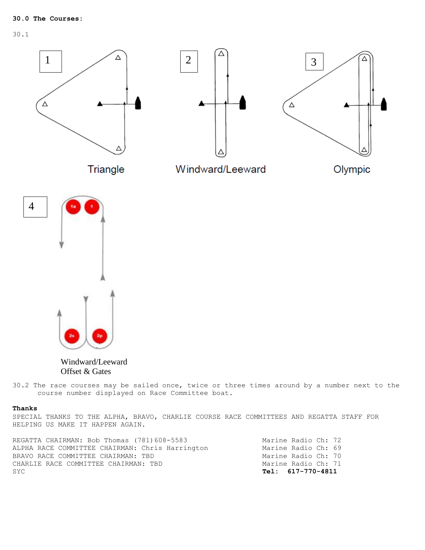30.1



Windward/Leeward Offset & Gates

30.2 The race courses may be sailed once, twice or three times around by a number next to the course number displayed on Race Committee boat.

### **Thanks**

SPECIAL THANKS TO THE ALPHA, BRAVO, CHARLIE COURSE RACE COMMITTEES AND REGATTA STAFF FOR HELPING US MAKE IT HAPPEN AGAIN.

| REGATTA CHAIRMAN: Bob Thomas (781)608-5583      |                   | Marine Radio Ch: 72 |  |
|-------------------------------------------------|-------------------|---------------------|--|
| ALPHA RACE COMMITTEE CHAIRMAN: Chris Harrington |                   | Marine Radio Ch: 69 |  |
| BRAVO RACE COMMITTEE CHAIRMAN: TBD              |                   | Marine Radio Ch: 70 |  |
| CHARLIE RACE COMMITTEE CHAIRMAN: TBD            |                   | Marine Radio Ch: 71 |  |
| SYC                                             | Tel: 617-770-4811 |                     |  |